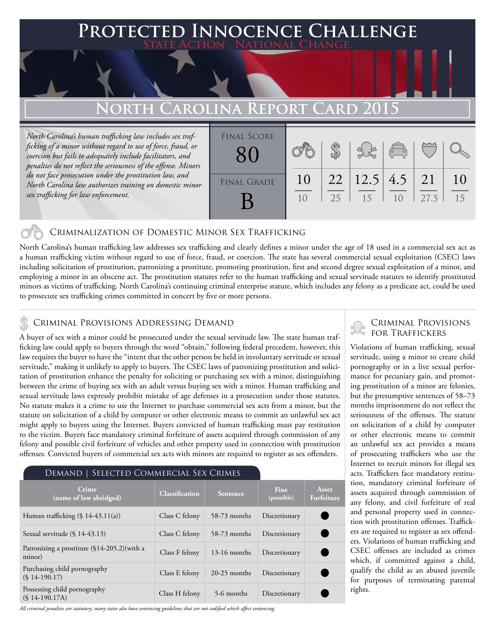### **PTED INNOCENCE CHALLENGE State Action . National Change.**

## **North Carolina Report Card 2015**

*North Carolina's human trafficking law includes sex trafficking of a minor without regard to use of force, fraud, or coercion but fails to adequately include facilitators, and penalties do not reflect the seriousness of the offense. Minors do not face prosecution under the prostitution law, and North Carolina law authorizes training on domestic minor sex trafficking for law enforcement.*



#### Criminalization of Domestic Minor Sex Trafficking

North Carolina's human trafficking law addresses sex trafficking and clearly defines a minor under the age of 18 used in a commercial sex act as a human trafficking victim without regard to use of force, fraud, or coercion. The state has several commercial sexual exploitation (CSEC) laws including solicitation of prostitution, patronizing a prostitute, promoting prostitution, first and second degree sexual exploitation of a minor, and employing a minor in an obscene act. The prostitution statutes refer to the human trafficking and sexual servitude statutes to identify prostituted minors as victims of trafficking. North Carolina's continuing criminal enterprise statute, which includes any felony as a predicate act, could be used to prosecute sex trafficking crimes committed in concert by five or more persons.

## CRIMINAL PROVISIONS ADDRESSING DEMAND

A buyer of sex with a minor could be prosecuted under the sexual servitude law. The state human trafficking law could apply to buyers through the word "obtain," following federal precedent, however, this law requires the buyer to have the "intent that the other person be held in involuntary servitude or sexual servitude," making it unlikely to apply to buyers. The CSEC laws of patronizing prostitution and solicitation of prostitution enhance the penalty for soliciting or purchasing sex with a minor, distinguishing between the crime of buying sex with an adult versus buying sex with a minor. Human trafficking and sexual servitude laws expressly prohibit mistake of age defenses in a prosecution under those statutes. No statute makes it a crime to use the Internet to purchase commercial sex acts from a minor, but the statute on solicitation of a child by computer or other electronic means to commit an unlawful sex act might apply to buyers using the Internet. Buyers convicted of human trafficking must pay restitution to the victim. Buyers face mandatory criminal forfeiture of assets acquired through commission of any felony and possible civil forfeiture of vehicles and other property used in connection with prostitution offenses. Convicted buyers of commercial sex acts with minors are required to register as sex offenders.

#### Demand | Selected Commercial Sex Crimes

| Crime<br>(name of law abridged)                         | <b>Classification</b> | <b>Sentence</b> | <b>Fine</b><br>(possible) | Asset<br>Forfeiture |
|---------------------------------------------------------|-----------------------|-----------------|---------------------------|---------------------|
| Human trafficking $(\S 14-43.11(a))$                    | Class C felony        | 58-73 months    | Discretionary             |                     |
| Sexual servitude $(\S 14-43.13)$                        | Class C felony        | 58-73 months    | Discretionary             |                     |
| Patronizing a prostitute (\$14-205.2) (with a<br>minor) | Class F felony        | $13-16$ months  | Discretionary             |                     |
| Purchasing child pornography<br>$(S14-190.17)$          | Class E felony        | $20-25$ months  | Discretionary             |                     |
| Possessing child pornography<br>$(S14-190.17A)$         | Class H felony        | 5-6 months      | Discretionary             |                     |

*All criminal penalties are statutory; many states also have sentencing guidelines that are not codified which affect sentencing.* 

# Criminal Provisions

Violations of human trafficking, sexual servitude, using a minor to create child pornography or in a live sexual performance for pecuniary gain, and promoting prostitution of a minor are felonies, but the presumptive sentences of 58–73 months imprisonment do not reflect the seriousness of the offenses. The statute on solicitation of a child by computer or other electronic means to commit an unlawful sex act provides a means of prosecuting traffickers who use the Internet to recruit minors for illegal sex acts. Traffickers face mandatory restitution, mandatory criminal forfeiture of assets acquired through commission of any felony, and civil forfeiture of real and personal property used in connection with prostitution offenses. Traffickers are required to register as sex offenders. Violations of human trafficking and CSEC offenses are included as crimes which, if committed against a child, qualify the child as an abused juvenile for purposes of terminating parental rights.